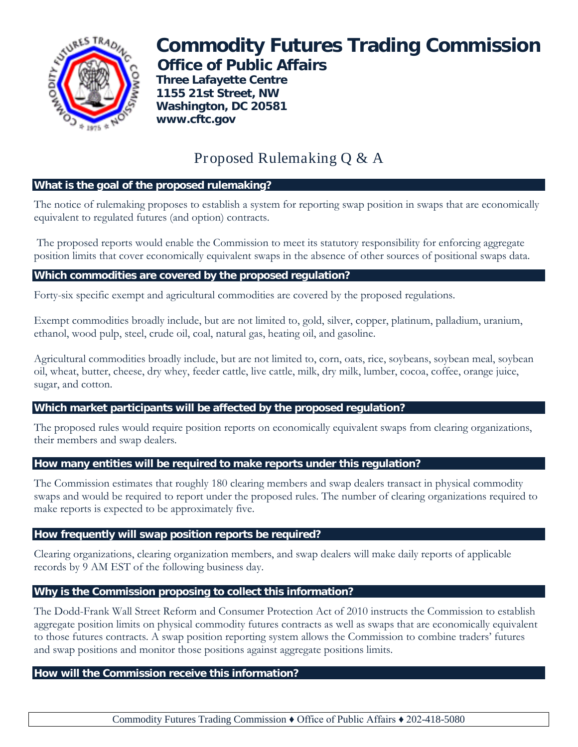

# **Commodity Futures Trading Commission Office of Public Affairs**

**Three Lafayette Centre 1155 21st Street, NW Washington, DC 20581 www.cftc.gov**

# Proposed Rulemaking Q & A

#### **What is the goal of the proposed rulemaking?**

The notice of rulemaking proposes to establish a system for reporting swap position in swaps that are economically equivalent to regulated futures (and option) contracts.

The proposed reports would enable the Commission to meet its statutory responsibility for enforcing aggregate position limits that cover economically equivalent swaps in the absence of other sources of positional swaps data.

## **Which commodities are covered by the proposed regulation?**

Forty-six specific exempt and agricultural commodities are covered by the proposed regulations.

Exempt commodities broadly include, but are not limited to, gold, silver, copper, platinum, palladium, uranium, ethanol, wood pulp, steel, crude oil, coal, natural gas, heating oil, and gasoline.

Agricultural commodities broadly include, but are not limited to, corn, oats, rice, soybeans, soybean meal, soybean oil, wheat, butter, cheese, dry whey, feeder cattle, live cattle, milk, dry milk, lumber, cocoa, coffee, orange juice, sugar, and cotton.

## **Which market participants will be affected by the proposed regulation?**

The proposed rules would require position reports on economically equivalent swaps from clearing organizations, their members and swap dealers.

#### **How many entities will be required to make reports under this regulation?**

The Commission estimates that roughly 180 clearing members and swap dealers transact in physical commodity swaps and would be required to report under the proposed rules. The number of clearing organizations required to make reports is expected to be approximately five.

#### **How frequently will swap position reports be required?**

Clearing organizations, clearing organization members, and swap dealers will make daily reports of applicable records by 9 AM EST of the following business day.

#### **Why is the Commission proposing to collect this information?**

The Dodd-Frank Wall Street Reform and Consumer Protection Act of 2010 instructs the Commission to establish aggregate position limits on physical commodity futures contracts as well as swaps that are economically equivalent to those futures contracts. A swap position reporting system allows the Commission to combine traders' futures and swap positions and monitor those positions against aggregate positions limits.

#### **How will the Commission receive this information?**

Commodity Futures Trading Commission ♦ Office of Public Affairs ♦ 202-418-5080